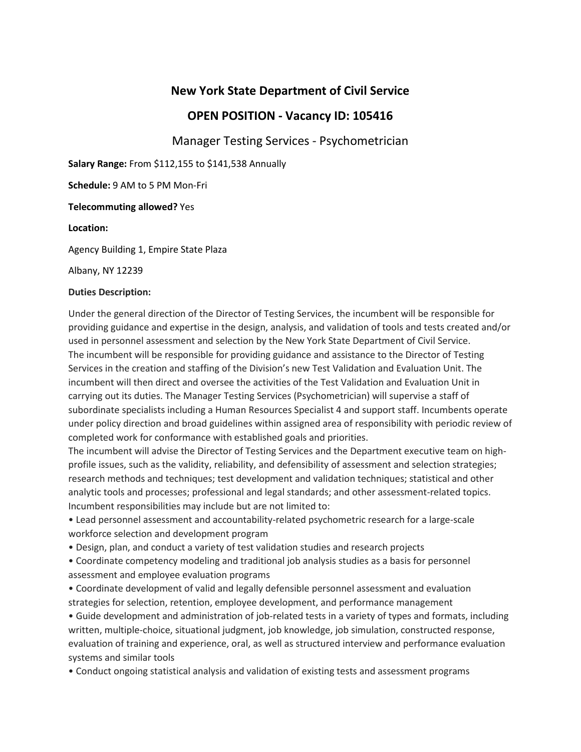# **New York State Department of Civil Service**

# **OPEN POSITION - Vacancy ID: 105416**

Manager Testing Services - Psychometrician

**Salary Range:** From \$112,155 to \$141,538 Annually

**Schedule:** 9 AM to 5 PM Mon-Fri

## **Telecommuting allowed?** Yes

## **Location:**

Agency Building 1, Empire State Plaza

Albany, NY 12239

#### **Duties Description:**

Under the general direction of the Director of Testing Services, the incumbent will be responsible for providing guidance and expertise in the design, analysis, and validation of tools and tests created and/or used in personnel assessment and selection by the New York State Department of Civil Service. The incumbent will be responsible for providing guidance and assistance to the Director of Testing Services in the creation and staffing of the Division's new Test Validation and Evaluation Unit. The incumbent will then direct and oversee the activities of the Test Validation and Evaluation Unit in carrying out its duties. The Manager Testing Services (Psychometrician) will supervise a staff of subordinate specialists including a Human Resources Specialist 4 and support staff. Incumbents operate under policy direction and broad guidelines within assigned area of responsibility with periodic review of completed work for conformance with established goals and priorities.

The incumbent will advise the Director of Testing Services and the Department executive team on highprofile issues, such as the validity, reliability, and defensibility of assessment and selection strategies; research methods and techniques; test development and validation techniques; statistical and other analytic tools and processes; professional and legal standards; and other assessment-related topics. Incumbent responsibilities may include but are not limited to:

• Lead personnel assessment and accountability-related psychometric research for a large-scale workforce selection and development program

• Design, plan, and conduct a variety of test validation studies and research projects

• Coordinate competency modeling and traditional job analysis studies as a basis for personnel assessment and employee evaluation programs

• Coordinate development of valid and legally defensible personnel assessment and evaluation strategies for selection, retention, employee development, and performance management

• Guide development and administration of job-related tests in a variety of types and formats, including written, multiple-choice, situational judgment, job knowledge, job simulation, constructed response, evaluation of training and experience, oral, as well as structured interview and performance evaluation systems and similar tools

• Conduct ongoing statistical analysis and validation of existing tests and assessment programs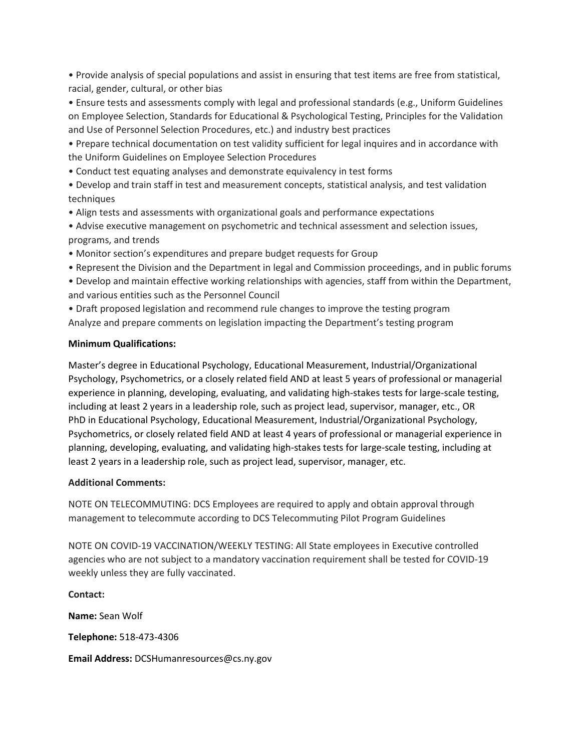• Provide analysis of special populations and assist in ensuring that test items are free from statistical, racial, gender, cultural, or other bias

• Ensure tests and assessments comply with legal and professional standards (e.g., Uniform Guidelines on Employee Selection, Standards for Educational & Psychological Testing, Principles for the Validation and Use of Personnel Selection Procedures, etc.) and industry best practices

• Prepare technical documentation on test validity sufficient for legal inquires and in accordance with the Uniform Guidelines on Employee Selection Procedures

• Conduct test equating analyses and demonstrate equivalency in test forms

• Develop and train staff in test and measurement concepts, statistical analysis, and test validation techniques

• Align tests and assessments with organizational goals and performance expectations

• Advise executive management on psychometric and technical assessment and selection issues, programs, and trends

• Monitor section's expenditures and prepare budget requests for Group

• Represent the Division and the Department in legal and Commission proceedings, and in public forums

• Develop and maintain effective working relationships with agencies, staff from within the Department, and various entities such as the Personnel Council

• Draft proposed legislation and recommend rule changes to improve the testing program Analyze and prepare comments on legislation impacting the Department's testing program

## **Minimum Qualifications:**

Master's degree in Educational Psychology, Educational Measurement, Industrial/Organizational Psychology, Psychometrics, or a closely related field AND at least 5 years of professional or managerial experience in planning, developing, evaluating, and validating high-stakes tests for large-scale testing, including at least 2 years in a leadership role, such as project lead, supervisor, manager, etc., OR PhD in Educational Psychology, Educational Measurement, Industrial/Organizational Psychology, Psychometrics, or closely related field AND at least 4 years of professional or managerial experience in planning, developing, evaluating, and validating high-stakes tests for large-scale testing, including at least 2 years in a leadership role, such as project lead, supervisor, manager, etc.

## **Additional Comments:**

NOTE ON TELECOMMUTING: DCS Employees are required to apply and obtain approval through management to telecommute according to DCS Telecommuting Pilot Program Guidelines

NOTE ON COVID-19 VACCINATION/WEEKLY TESTING: All State employees in Executive controlled agencies who are not subject to a mandatory vaccination requirement shall be tested for COVID-19 weekly unless they are fully vaccinated.

**Contact: Name:** Sean Wolf **Telephone:** 518-473-4306

**Email Address:** DCSHumanresources@cs.ny.gov